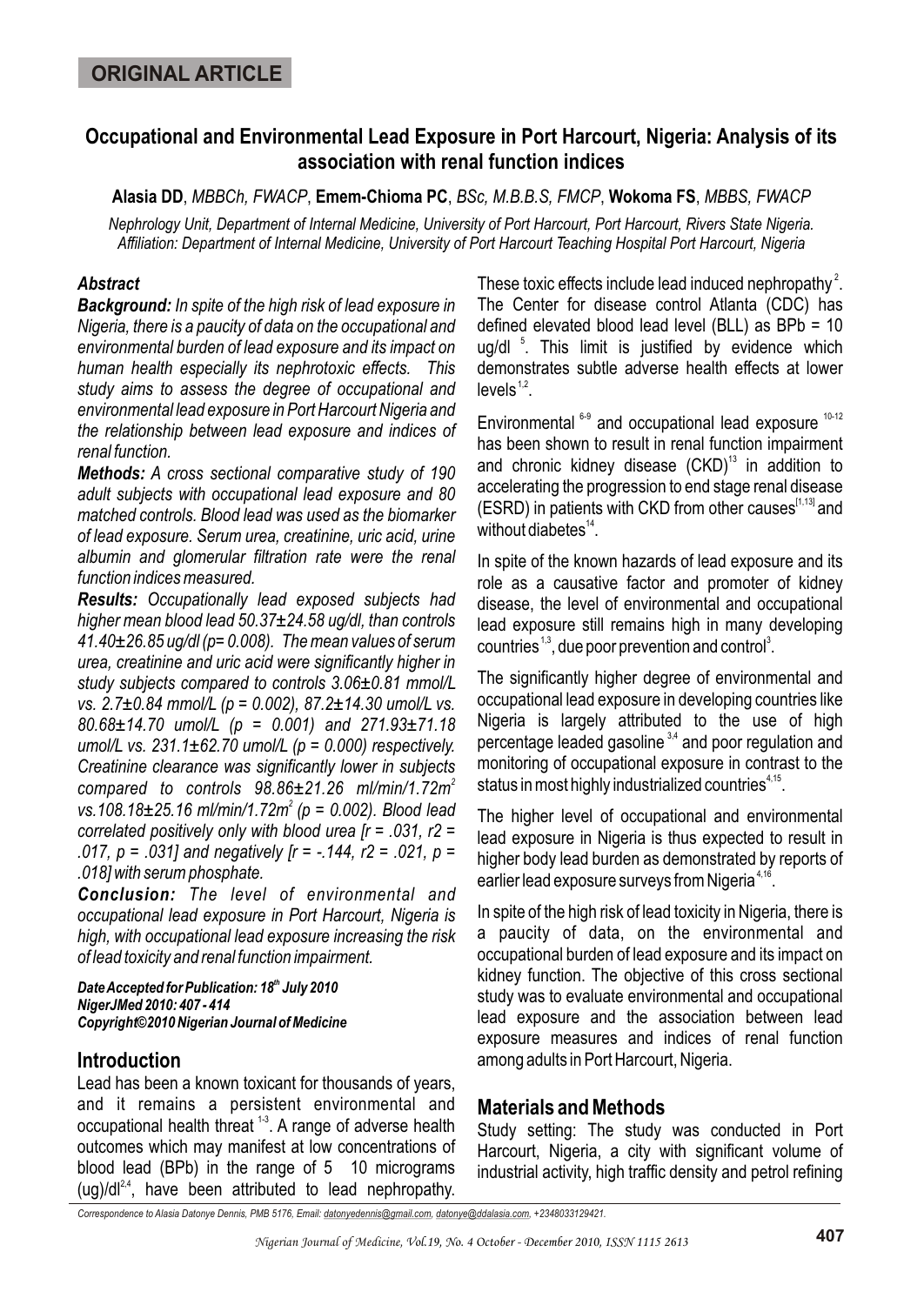# **Occupational and Environmental Lead Exposure in Port Harcourt, Nigeria: Analysis of its association with renal function indices**

**Alasia DD**, *MBBCh, FWACP*, **Emem-Chioma PC**, *BSc, M.B.B.S, FMCP*, **Wokoma FS**, *MBBS, FWACP*

*Nephrology Unit, Department of Internal Medicine, University of Port Harcourt, Port Harcourt, Rivers State Nigeria. Affiliation: Department of Internal Medicine, University of Port Harcourt Teaching Hospital Port Harcourt, Nigeria*

### *Abstract*

*Background: In spite of the high risk of lead exposure in Nigeria, there is a paucity of data on the occupational and environmental burden of lead exposure and its impact on human health especially its nephrotoxic effects. This study aims to assess the degree of occupational and environmental lead exposure in Port Harcourt Nigeria and the relationship between lead exposure and indices of renal function.* 

*Methods: A cross sectional comparative study of 190 adult subjects with occupational lead exposure and 80 matched controls. Blood lead was used as the biomarker of lead exposure. Serum urea, creatinine, uric acid, urine albumin and glomerular filtration rate were the renal function indices measured.* 

*Results: Occupationally lead exposed subjects had higher mean blood lead 50.37±24.58 ug/dl, than controls 41.40±26.85 ug/dl (p= 0.008). The mean values of serum urea, creatinine and uric acid were significantly higher in study subjects compared to controls 3.06±0.81 mmol/L vs. 2.7±0.84 mmol/L (p = 0.002), 87.2±14.30 umol/L vs. 80.68±14.70 umol/L (p = 0.001) and 271.93±71.18 umol/L vs. 231.1±62.70 umol/L (p = 0.000) respectively. Creatinine clearance was significantly lower in subjects 2 compared to controls 98.86±21.26 ml/min/1.72m <sup>2</sup>vs.108.18±25.16 ml/min/1.72m (p = 0.002). Blood lead correlated positively only with blood urea [r = .031, r2 = .017, p = .031] and negatively [r = -.144, r2 = .021, p = .018] with serum phosphate.* 

*Conclusion: The level of environmental and occupational lead exposure in Port Harcourt, Nigeria is high, with occupational lead exposure increasing the risk of lead toxicity and renal function impairment.*

**Date Accepted for Publication: 18<sup>th</sup> July 2010** *NigerJMed 2010: 407 - 414 Copyright©2010 Nigerian Journal of Medicine*

## **Introduction**

Lead has been a known toxicant for thousands of years, and it remains a persistent environmental and occupational health threat <sup>1-3</sup>. A range of adverse health outcomes which may manifest at low concentrations of blood lead (BPb) in the range of 5 10 micrograms  $(uq)/dl^{2,4}$ , have been attributed to lead nephropathy.

These toxic effects include lead induced nephropathy<sup>2</sup>. The Center for disease control Atlanta (CDC) has defined elevated blood lead level (BLL) as BPb = 10  $ug/dl$ <sup>5</sup>. This limit is justified by evidence which demonstrates subtle adverse health effects at lower  $Ievels<sup>1,2</sup>$ 

Environmental  $6-9$  and occupational lead exposure  $10-12$ has been shown to result in renal function impairment and chronic kidney disease  $(CKD)^{13}$  in addition to accelerating the progression to end stage renal disease  $(ESRD)$  in patients with CKD from other causes  $[1,13]$  and without diabetes $14$ .

In spite of the known hazards of lead exposure and its role as a causative factor and promoter of kidney disease, the level of environmental and occupational lead exposure still remains high in many developing countries<sup> $1,3$ </sup>, due poor prevention and control<sup>3</sup>.

The significantly higher degree of environmental and occupational lead exposure in developing countries like Nigeria is largely attributed to the use of high percentage leaded gasoline  $34$  and poor regulation and monitoring of occupational exposure in contrast to the status in most highly industrialized countries $4.15$ .

The higher level of occupational and environmental lead exposure in Nigeria is thus expected to result in higher body lead burden as demonstrated by reports of earlier lead exposure surveys from Nigeria $4,16$ .

In spite of the high risk of lead toxicity in Nigeria, there is a paucity of data, on the environmental and occupational burden of lead exposure and its impact on kidney function. The objective of this cross sectional study was to evaluate environmental and occupational lead exposure and the association between lead exposure measures and indices of renal function among adults in Port Harcourt, Nigeria.

# **Materials and Methods**

Study setting: The study was conducted in Port Harcourt, Nigeria, a city with significant volume of industrial activity, high traffic density and petrol refining

*Correspondence to Alasia Datonye Dennis, PMB 5176, Email: datonyedennis@gmail.com, datonye@ddalasia.com, +2348033129421.*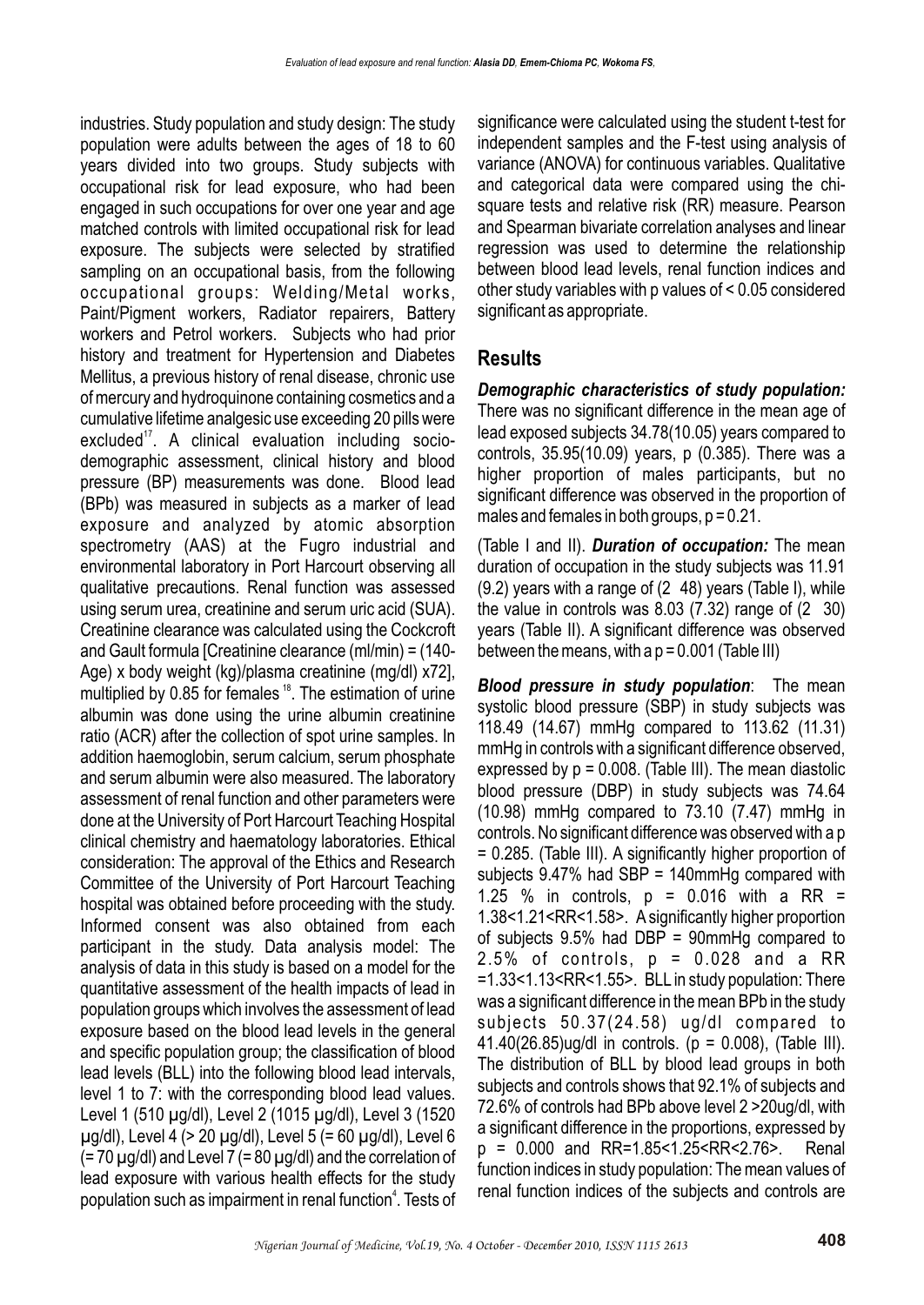industries. Study population and study design: The study population were adults between the ages of 18 to 60 years divided into two groups. Study subjects with occupational risk for lead exposure, who had been engaged in such occupations for over one year and age matched controls with limited occupational risk for lead exposure. The subjects were selected by stratified sampling on an occupational basis, from the following occupational groups: Welding/Metal works, Paint/Pigment workers, Radiator repairers, Battery workers and Petrol workers. Subjects who had prior history and treatment for Hypertension and Diabetes Mellitus, a previous history of renal disease, chronic use of mercury and hydroquinone containing cosmetics and a cumulative lifetime analgesic use exceeding 20 pills were excluded<sup>17</sup>. A clinical evaluation including sociodemographic assessment, clinical history and blood pressure (BP) measurements was done. Blood lead (BPb) was measured in subjects as a marker of lead exposure and analyzed by atomic absorption spectrometry (AAS) at the Fugro industrial and environmental laboratory in Port Harcourt observing all qualitative precautions. Renal function was assessed using serum urea, creatinine and serum uric acid (SUA). Creatinine clearance was calculated using the Cockcroft and Gault formula [Creatinine clearance (ml/min) = (140- Age) x body weight (kg)/plasma creatinine (mg/dl) x72], multiplied by 0.85 for females  $18$ . The estimation of urine albumin was done using the urine albumin creatinine ratio (ACR) after the collection of spot urine samples. In addition haemoglobin, serum calcium, serum phosphate and serum albumin were also measured. The laboratory assessment of renal function and other parameters were done at the University of Port Harcourt Teaching Hospital clinical chemistry and haematology laboratories. Ethical consideration: The approval of the Ethics and Research Committee of the University of Port Harcourt Teaching hospital was obtained before proceeding with the study. Informed consent was also obtained from each participant in the study. Data analysis model: The analysis of data in this study is based on a model for the quantitative assessment of the health impacts of lead in population groups which involves the assessment of lead exposure based on the blood lead levels in the general and specific population group; the classification of blood lead levels (BLL) into the following blood lead intervals, level 1 to 7: with the corresponding blood lead values. Level 1 (510 µg/dl), Level 2 (1015 µg/dl), Level 3 (1520 µg/dl), Level 4 (> 20 µg/dl), Level 5 (= 60 µg/dl), Level 6  $(= 70 \mu g/d)$  and Level 7 (= 80  $\mu g/d$ ) and the correlation of lead exposure with various health effects for the study population such as impairment in renal function<sup>4</sup>. Tests of significance were calculated using the student t-test for independent samples and the F-test using analysis of variance (ANOVA) for continuous variables. Qualitative and categorical data were compared using the chisquare tests and relative risk (RR) measure. Pearson and Spearman bivariate correlation analyses and linear regression was used to determine the relationship between blood lead levels, renal function indices and other study variables with p values of < 0.05 considered significant as appropriate.

## **Results**

*Demographic characteristics of study population:* There was no significant difference in the mean age of lead exposed subjects 34.78(10.05) years compared to controls, 35.95(10.09) years, p (0.385). There was a higher proportion of males participants, but no significant difference was observed in the proportion of males and females in both groups,  $p = 0.21$ .

(Table I and II). *Duration of occupation:* The mean duration of occupation in the study subjects was 11.91 (9.2) years with a range of (2 48) years (Table I), while the value in controls was 8.03 (7.32) range of (2 30) years (Table II). A significant difference was observed between the means, with a  $p = 0.001$  (Table III)

*Blood pressure in study population*:The mean systolic blood pressure (SBP) in study subjects was 118.49 (14.67) mmHg compared to 113.62 (11.31) mmHg in controls with a significant difference observed, expressed by  $p = 0.008$ . (Table III). The mean diastolic blood pressure (DBP) in study subjects was 74.64 (10.98) mmHg compared to 73.10 (7.47) mmHg in controls. No significant difference was observed with a p = 0.285. (Table III). A significantly higher proportion of subjects 9.47% had SBP = 140mmHg compared with 1.25 % in controls,  $p = 0.016$  with a RR = 1.38<1.21<RR<1.58>. A significantly higher proportion of subjects 9.5% had DBP = 90mmHg compared to  $2.5\%$  of controls,  $p = 0.028$  and a RR =1.33<1.13<RR<1.55>. BLL in study population: There was a significant difference in the mean BPb in the study subjects 50.37(24.58) ug/dl compared to 41.40(26.85)ug/dl in controls. (p = 0.008), (Table III). The distribution of BLL by blood lead groups in both subjects and controls shows that 92.1% of subjects and 72.6% of controls had BPb above level 2 >20ug/dl, with a significant difference in the proportions, expressed by p = 0.000 and RR=1.85<1.25<RR<2.76>. Renal function indices in study population: The mean values of renal function indices of the subjects and controls are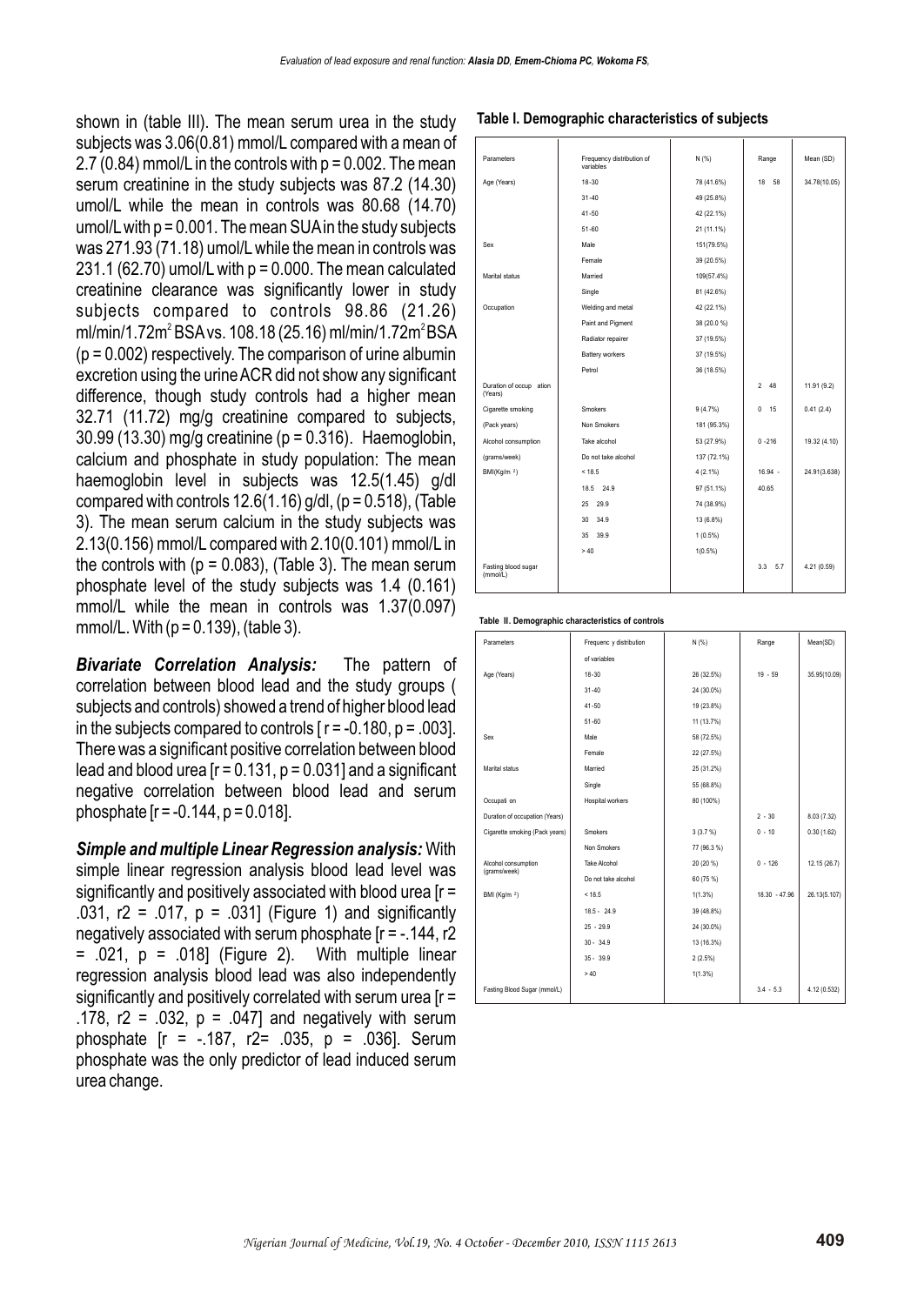shown in (table III). The mean serum urea in the study subjects was 3.06(0.81) mmol/L compared with a mean of 2.7  $(0.84)$  mmol/L in the controls with  $p = 0.002$ . The mean serum creatinine in the study subjects was 87.2 (14.30) umol/L while the mean in controls was 80.68 (14.70) umol/L with  $p = 0.001$ . The mean SUA in the study subjects was 271.93 (71.18) umol/L while the mean in controls was 231.1 (62.70) umol/L with  $p = 0.000$ . The mean calculated creatinine clearance was significantly lower in study subjects compared to controls 98.86 (21.26) ml/min/1.72m<sup>2</sup> BSA vs. 108.18 (25.16) ml/min/1.72m<sup>2</sup> BSA  $(p = 0.002)$  respectively. The comparison of urine albumin excretion using the urine ACR did not show any significant difference, though study controls had a higher mean 32.71 (11.72) mg/g creatinine compared to subjects, 30.99 (13.30) mg/g creatinine (p = 0.316). Haemoglobin, calcium and phosphate in study population: The mean haemoglobin level in subjects was 12.5(1.45) g/dl compared with controls  $12.6(1.16)$  g/dl, ( $p = 0.518$ ), (Table 3). The mean serum calcium in the study subjects was 2.13(0.156) mmol/L compared with 2.10(0.101) mmol/L in the controls with  $(p = 0.083)$ , (Table 3). The mean serum phosphate level of the study subjects was 1.4 (0.161) mmol/L while the mean in controls was 1.37(0.097) mmol/L. With  $(p = 0.139)$ , (table 3).

*Bivariate Correlation Analysis:* The pattern of correlation between blood lead and the study groups ( subjects and controls) showed a trend of higher blood lead in the subjects compared to controls  $r = -0.180$ ,  $p = .003$ . There was a significant positive correlation between blood lead and blood urea  $[r = 0.131, p = 0.031]$  and a significant negative correlation between blood lead and serum phosphate  $[r = -0.144, p = 0.018]$ .

*Simple and multiple Linear Regression analysis:* With simple linear regression analysis blood lead level was significantly and positively associated with blood urea [r = .031, r2 = .017, p = .031] (Figure 1) and significantly negatively associated with serum phosphate [r = -.144, r2  $= .021$ ,  $p = .018$ ] (Figure 2). With multiple linear regression analysis blood lead was also independently significantly and positively correlated with serum urea [r = .178,  $r2 = .032$ ,  $p = .047$ ] and negatively with serum phosphate [r = -.187, r2= .035, p = .036]. Serum phosphate was the only predictor of lead induced serum urea change.

#### **Table I. Demographic characteristics of subjects**

| Parameters                         | Frequency distribution of<br>variables | N(% )       | Range                | Mean (SD)    |
|------------------------------------|----------------------------------------|-------------|----------------------|--------------|
| Age (Years)                        | $18 - 30$                              | 78 (41.6%)  | 18<br>58             | 34.78(10.05) |
|                                    | $31 - 40$                              | 49 (25.8%)  |                      |              |
|                                    | $41 - 50$                              | 42 (22.1%)  |                      |              |
|                                    | $51 - 60$                              | 21 (11.1%)  |                      |              |
| Sex                                | Male                                   | 151(79.5%)  |                      |              |
|                                    | Female                                 | 39 (20.5%)  |                      |              |
| Marital status                     | Married                                | 109(57.4%)  |                      |              |
|                                    | Single                                 | 81 (42.6%)  |                      |              |
| Occupation                         | Welding and metal                      | 42 (22.1%)  |                      |              |
|                                    | Paint and Pigment                      | 38 (20.0 %) |                      |              |
|                                    | Radiator repairer                      | 37 (19.5%)  |                      |              |
|                                    | Battery workers                        | 37 (19.5%)  |                      |              |
|                                    | Petrol                                 | 36 (18.5%)  |                      |              |
| Duration of occup ation<br>(Years) |                                        |             | $\mathfrak{p}$<br>48 | 11.91 (9.2)  |
| Cigarette smoking                  | Smokers                                | 9(4.7%)     | $\Omega$<br>15       | 0.41(2.4)    |
| (Pack years)                       | Non Smokers                            | 181 (95.3%) |                      |              |
| Alcohol consumption                | Take alcohol                           | 53 (27.9%)  | $0 - 216$            | 19.32 (4.10) |
| (grams/week)                       | Do not take alcohol                    | 137 (72.1%) |                      |              |
| BMI(Kg/m $^2$ )                    | < 18.5                                 | $4(2.1\%)$  | 16.94 -              | 24.91(3.638) |
|                                    | 18.5 24.9                              | 97 (51.1%)  | 40.65                |              |
|                                    | 25<br>29.9                             | 74 (38.9%)  |                      |              |
|                                    | 30<br>34.9                             | 13 (6.8%)   |                      |              |
|                                    | 35<br>39.9                             | $1(0.5\%)$  |                      |              |
|                                    | > 40                                   | $1(0.5\%)$  |                      |              |
| Fasting blood sugar<br>(mmol/L)    |                                        |             | 3.3<br>5.7           | 4.21 (0.59)  |

**Table II. Demographic characteristics of controls**

| Parameters                          | Frequenc y distribution | N (%)       | Range         | Mean(SD)     |
|-------------------------------------|-------------------------|-------------|---------------|--------------|
|                                     | of variables            |             |               |              |
| Age (Years)                         | $18 - 30$               | 26 (32.5%)  | $19 - 59$     | 35.95(10.09) |
|                                     | $31 - 40$               | 24 (30.0%)  |               |              |
|                                     | $41 - 50$               | 19 (23.8%)  |               |              |
|                                     | $51 - 60$               | 11 (13.7%)  |               |              |
| Sex                                 | Male                    | 58 (72.5%)  |               |              |
|                                     | Female                  | 22 (27.5%)  |               |              |
| Marital status                      | Married                 | 25 (31.2%)  |               |              |
|                                     | Single                  | 55 (68.8%)  |               |              |
| Occupati on                         | Hospital workers        | 80 (100%)   |               |              |
| Duration of occupation (Years)      |                         |             | $2 - 30$      | 8.03 (7.32)  |
| Cigarette smoking (Pack years)      | Smokers                 | 3(3.7%)     | $0 - 10$      | 0.30(1.62)   |
|                                     | Non Smokers             | 77 (96.3 %) |               |              |
| Alcohol consumption<br>(grams/week) | Take Alcohol            | 20 (20 %)   | $0 - 126$     | 12.15 (26.7) |
|                                     | Do not take alcohol     | 60 (75 %)   |               |              |
| BMI (Kg/m <sup>2</sup> )            | < 18.5                  | $1(1.3\%)$  | 18.30 - 47.96 | 26.13(5.107) |
|                                     | $18.5 - 24.9$           | 39 (48.8%)  |               |              |
|                                     | $25 - 29.9$             | 24 (30.0%)  |               |              |
|                                     | $30 - 34.9$             | 13 (16.3%)  |               |              |
|                                     | $35 - 39.9$             | $2(2.5\%)$  |               |              |
|                                     | >40                     | $1(1.3\%)$  |               |              |
| Fasting Blood Sugar (mmol/L)        |                         |             | $3.4 - 5.3$   | 4.12 (0.532) |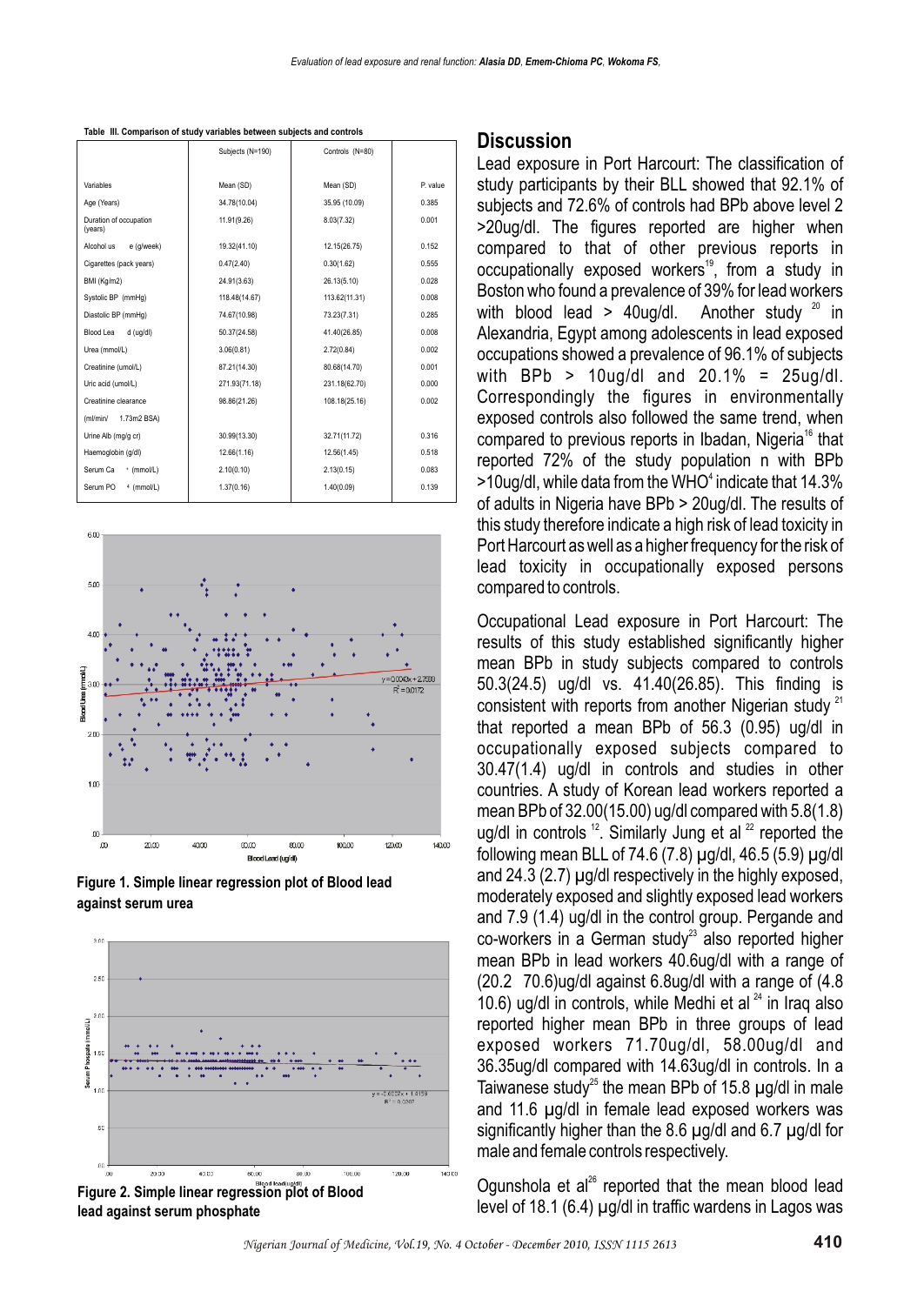|                                   | Subjects (N=190) | Controls (N=80) |          |
|-----------------------------------|------------------|-----------------|----------|
|                                   |                  |                 |          |
| Variables                         | Mean (SD)        | Mean (SD)       | P. value |
| Age (Years)                       | 34.78(10.04)     | 35.95 (10.09)   | 0.385    |
| Duration of occupation<br>(years) | 11.91(9.26)      | 8.03(7.32)      | 0.001    |
| e (g/week)<br>Alcohol us          | 19.32(41.10)     | 12.15(26.75)    | 0.152    |
| Cigarettes (pack years)           | 0.47(2.40)       | 0.30(1.62)      | 0.555    |
| BMI (Kg/m2)                       | 24.91(3.63)      | 26.13(5.10)     | 0.028    |
| Systolic BP (mmHg)                | 118.48(14.67)    | 113.62(11.31)   | 0.008    |
| Diastolic BP (mmHg)               | 74.67(10.98)     | 73.23(7.31)     | 0.285    |
| Blood Lea<br>d (ug/dl)            | 50.37(24.58)     | 41.40(26.85)    | 0.008    |
| Urea (mmol/L)                     | 3.06(0.81)       | 2.72(0.84)      | 0.002    |
| Creatinine (umol/L)               | 87.21(14.30)     | 80.68(14.70)    | 0.001    |
| Uric acid (umol/L)                | 271.93(71.18)    | 231.18(62.70)   | 0.000    |
| Creatinine clearance              | 98.86(21.26)     | 108.18(25.16)   | 0.002    |
| 1.73m2 BSA)<br>(ml/min/           |                  |                 |          |
| Urine Alb (mg/g cr)               | 30.99(13.30)     | 32.71(11.72)    | 0.316    |
| Haemoglobin (g/dl)                | 12.66(1.16)      | 12.56(1.45)     | 0.518    |
| Serum Ca<br>+ (mmol/L)            | 2.10(0.10)       | 2.13(0.15)      | 0.083    |
| Serum PO<br>$4$ (mmol/L)          | 1.37(0.16)       | 1.40(0.09)      | 0.139    |

**Table III. Comparison of study variables between subjects and controls**



**Figure 1. Simple linear regression plot of Blood lead against serum urea**



#### **Discussion**

Lead exposure in Port Harcourt: The classification of study participants by their BLL showed that 92.1% of subjects and 72.6% of controls had BPb above level 2 >20ug/dl. The figures reported are higher when compared to that of other previous reports in occupationally exposed workers<sup>19</sup>, from a study in Boston who found a prevalence of 39% for lead workers with blood lead > 40ug/dl. Another study  $20$  in Alexandria, Egypt among adolescents in lead exposed occupations showed a prevalence of 96.1% of subjects with BPb  $> 10$ ug/dl and 20.1% = 25ug/dl. Correspondingly the figures in environmentally exposed controls also followed the same trend, when compared to previous reports in Ibadan, Nigeria<sup>16</sup> that reported 72% of the study population n with BPb >10ug/dl, while data from the WHO<sup>4</sup> indicate that 14.3% of adults in Nigeria have BPb > 20ug/dl. The results of this study therefore indicate a high risk of lead toxicity in Port Harcourt as well as a higher frequency for the risk of lead toxicity in occupationally exposed persons compared to controls.

Occupational Lead exposure in Port Harcourt: The results of this study established significantly higher mean BPb in study subjects compared to controls 50.3(24.5) ug/dl vs. 41.40(26.85). This finding is consistent with reports from another Nigerian study  $21$ that reported a mean BPb of 56.3 (0.95) ug/dl in occupationally exposed subjects compared to 30.47(1.4) ug/dl in controls and studies in other countries. A study of Korean lead workers reported a mean BPb of 32.00(15.00) ug/dl compared with 5.8(1.8) ug/dl in controls  $12$ . Similarly Jung et al  $22$  reported the following mean BLL of 74.6 (7.8)  $\mu$ g/dl, 46.5 (5.9)  $\mu$ g/dl and 24.3 (2.7) µg/dl respectively in the highly exposed, moderately exposed and slightly exposed lead workers and 7.9 (1.4) ug/dl in the control group. Pergande and co-workers in a German study<sup>23</sup> also reported higher mean BPb in lead workers 40.6ug/dl with a range of (20.2 70.6)ug/dl against 6.8ug/dl with a range of (4.8 10.6) ug/dl in controls, while Medhi et al  $^{24}$  in Iraq also reported higher mean BPb in three groups of lead exposed workers 71.70ug/dl, 58.00ug/dl and 36.35ug/dl compared with 14.63ug/dl in controls. In a Taiwanese study<sup>25</sup> the mean BPb of 15.8  $\mu$ g/dl in male and 11.6 µg/dl in female lead exposed workers was significantly higher than the 8.6 µg/dl and 6.7 µg/dl for male and female controls respectively.

Ogunshola et al<sup>26</sup> reported that the mean blood lead level of 18.1 (6.4) µg/dl in traffic wardens in Lagos was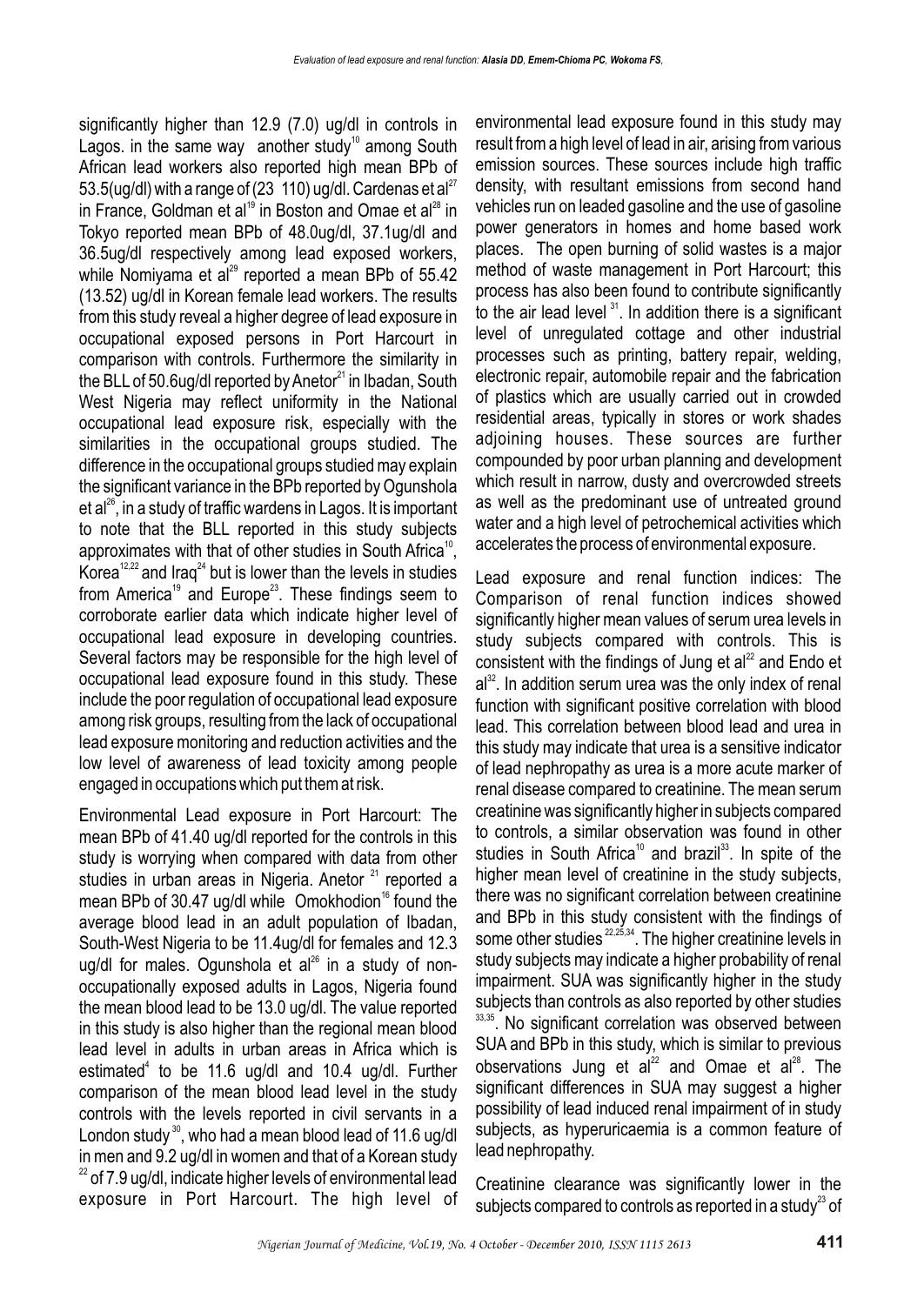significantly higher than 12.9 (7.0) ug/dl in controls in Lagos. in the same way another study<sup>10</sup> among South African lead workers also reported high mean BPb of 53.5(ug/dl) with a range of (23 110) ug/dl. Cardenas et al<sup>27</sup> in France, Goldman et al<sup>19</sup> in Boston and Omae et al<sup>28</sup> in Tokyo reported mean BPb of 48.0ug/dl, 37.1ug/dl and 36.5ug/dl respectively among lead exposed workers, while Nomiyama et al<sup>29</sup> reported a mean BPb of  $55.42$ (13.52) ug/dl in Korean female lead workers. The results from this study reveal a higher degree of lead exposure in occupational exposed persons in Port Harcourt in comparison with controls. Furthermore the similarity in the BLL of 50.6ug/dl reported by Anetor $^{21}$  in Ibadan, South West Nigeria may reflect uniformity in the National occupational lead exposure risk, especially with the similarities in the occupational groups studied. The difference in the occupational groups studied may explain the significant variance in the BPb reported by Ogunshola et al<sup>26</sup>, in a study of traffic wardens in Lagos. It is important to note that the BLL reported in this study subjects approximates with that of other studies in South Africa<sup>10</sup>, Korea<sup>12,22</sup> and Irag<sup>24</sup> but is lower than the levels in studies from America<sup>19</sup> and Europe<sup>23</sup>. These findings seem to corroborate earlier data which indicate higher level of occupational lead exposure in developing countries. Several factors may be responsible for the high level of occupational lead exposure found in this study. These include the poor regulation of occupational lead exposure among risk groups, resulting from the lack of occupational lead exposure monitoring and reduction activities and the low level of awareness of lead toxicity among people engaged in occupations which put them at risk.

Environmental Lead exposure in Port Harcourt: The mean BPb of 41.40 ug/dl reported for the controls in this study is worrying when compared with data from other studies in urban areas in Nigeria. Anetor  $21$  reported a mean BPb of 30.47 ug/dl while Omokhodion<sup>16</sup> found the average blood lead in an adult population of Ibadan, South-West Nigeria to be 11.4ug/dl for females and 12.3 ug/dl for males. Ogunshola et  $al^{26}$  in a study of nonoccupationally exposed adults in Lagos, Nigeria found the mean blood lead to be 13.0 ug/dl. The value reported in this study is also higher than the regional mean blood lead level in adults in urban areas in Africa which is estimated<sup>4</sup> to be 11.6 ug/dl and 10.4 ug/dl. Further comparison of the mean blood lead level in the study controls with the levels reported in civil servants in a London study<sup>30</sup>, who had a mean blood lead of 11.6 ug/dl in men and 9.2 ug/dl in women and that of a Korean study  $22$  of 7.9 ug/dl, indicate higher levels of environmental lead exposure in Port Harcourt. The high level of

environmental lead exposure found in this study may result from a high level of lead in air, arising from various emission sources. These sources include high traffic density, with resultant emissions from second hand vehicles run on leaded gasoline and the use of gasoline power generators in homes and home based work places. The open burning of solid wastes is a major method of waste management in Port Harcourt; this process has also been found to contribute significantly to the air lead level  $31$ . In addition there is a significant level of unregulated cottage and other industrial processes such as printing, battery repair, welding, electronic repair, automobile repair and the fabrication of plastics which are usually carried out in crowded residential areas, typically in stores or work shades adjoining houses. These sources are further compounded by poor urban planning and development which result in narrow, dusty and overcrowded streets as well as the predominant use of untreated ground water and a high level of petrochemical activities which accelerates the process of environmental exposure.

Lead exposure and renal function indices: The Comparison of renal function indices showed significantly higher mean values of serum urea levels in study subjects compared with controls. This is consistent with the findings of Jung et  $al<sup>22</sup>$  and Endo et  $a^{32}$ . In addition serum urea was the only index of renal function with significant positive correlation with blood lead. This correlation between blood lead and urea in this study may indicate that urea is a sensitive indicator of lead nephropathy as urea is a more acute marker of renal disease compared to creatinine. The mean serum creatinine was significantly higher in subjects compared to controls, a similar observation was found in other studies in South Africa<sup>10</sup> and brazil<sup>33</sup>. In spite of the higher mean level of creatinine in the study subjects, there was no significant correlation between creatinine and BPb in this study consistent with the findings of some other studies  $^{22,25,34}$ . The higher creatinine levels in study subjects may indicate a higher probability of renal impairment. SUA was significantly higher in the study subjects than controls as also reported by other studies 33,35. No significant correlation was observed between SUA and BPb in this study, which is similar to previous observations Jung et  $a^{22}$  and Omae et  $a^{28}$ . The significant differences in SUA may suggest a higher possibility of lead induced renal impairment of in study subjects, as hyperuricaemia is a common feature of lead nephropathy.

Creatinine clearance was significantly lower in the subjects compared to controls as reported in a study<sup>23</sup> of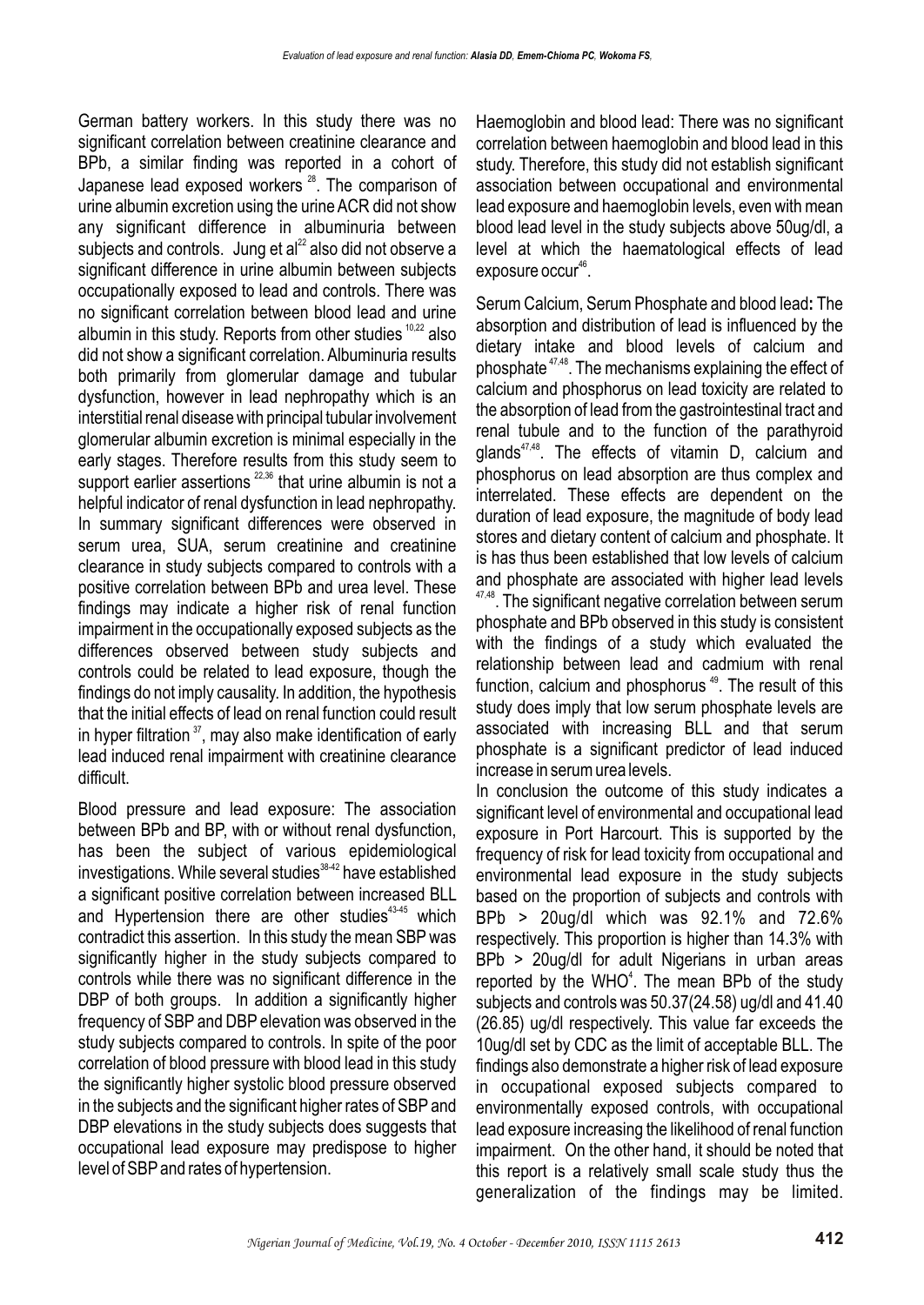German battery workers. In this study there was no significant correlation between creatinine clearance and BPb, a similar finding was reported in a cohort of Japanese lead exposed workers  $28$ . The comparison of urine albumin excretion using the urine ACR did not show any significant difference in albuminuria between subjects and controls. Jung et  $al<sup>22</sup>$  also did not observe a significant difference in urine albumin between subjects occupationally exposed to lead and controls. There was no significant correlation between blood lead and urine albumin in this study. Reports from other studies  $10,22$  also did not show a significant correlation. Albuminuria results both primarily from glomerular damage and tubular dysfunction, however in lead nephropathy which is an interstitial renal disease with principal tubular involvement glomerular albumin excretion is minimal especially in the early stages. Therefore results from this study seem to support earlier assertions  $22,36$  that urine albumin is not a helpful indicator of renal dysfunction in lead nephropathy. In summary significant differences were observed in serum urea, SUA, serum creatinine and creatinine clearance in study subjects compared to controls with a positive correlation between BPb and urea level. These findings may indicate a higher risk of renal function impairment in the occupationally exposed subjects as the differences observed between study subjects and controls could be related to lead exposure, though the findings do not imply causality. In addition, the hypothesis that the initial effects of lead on renal function could result in hyper filtration  $37$ , may also make identification of early lead induced renal impairment with creatinine clearance difficult.

Blood pressure and lead exposure: The association between BPb and BP, with or without renal dysfunction, has been the subject of various epidemiological  $i$ nvestigations. While several studies  $38-42$  have established a significant positive correlation between increased BLL and Hypertension there are other studies $43-45$  which contradict this assertion. In this study the mean SBP was significantly higher in the study subjects compared to controls while there was no significant difference in the DBP of both groups. In addition a significantly higher frequency of SBP and DBP elevation was observed in the study subjects compared to controls. In spite of the poor correlation of blood pressure with blood lead in this study the significantly higher systolic blood pressure observed in the subjects and the significant higher rates of SBP and DBP elevations in the study subjects does suggests that occupational lead exposure may predispose to higher level of SBP and rates of hypertension.

Haemoglobin and blood lead: There was no significant correlation between haemoglobin and blood lead in this study. Therefore, this study did not establish significant association between occupational and environmental lead exposure and haemoglobin levels, even with mean blood lead level in the study subjects above 50ug/dl, a level at which the haematological effects of lead  $exposure occur<sup>46</sup>$ .

Serum Calcium, Serum Phosphate and blood lead**:** The absorption and distribution of lead is influenced by the dietary intake and blood levels of calcium and phosphate  $47,48$ . The mechanisms explaining the effect of calcium and phosphorus on lead toxicity are related to the absorption of lead from the gastrointestinal tract and renal tubule and to the function of the parathyroid  $q$ lands<sup> $47,48$ </sup>. The effects of vitamin D, calcium and phosphorus on lead absorption are thus complex and interrelated. These effects are dependent on the duration of lead exposure, the magnitude of body lead stores and dietary content of calcium and phosphate. It is has thus been established that low levels of calcium and phosphate are associated with higher lead levels <sup>47,48</sup>. The significant negative correlation between serum phosphate and BPb observed in this study is consistent with the findings of a study which evaluated the relationship between lead and cadmium with renal function, calcium and phosphorus<sup>49</sup>. The result of this study does imply that low serum phosphate levels are associated with increasing BLL and that serum phosphate is a significant predictor of lead induced increase in serum urea levels.

In conclusion the outcome of this study indicates a significant level of environmental and occupational lead exposure in Port Harcourt. This is supported by the frequency of risk for lead toxicity from occupational and environmental lead exposure in the study subjects based on the proportion of subjects and controls with BPb > 20ug/dl which was 92.1% and 72.6% respectively. This proportion is higher than 14.3% with BPb > 20ug/dl for adult Nigerians in urban areas reported by the WHO<sup>4</sup>. The mean BPb of the study subjects and controls was 50.37(24.58) ug/dl and 41.40 (26.85) ug/dl respectively. This value far exceeds the 10ug/dl set by CDC as the limit of acceptable BLL. The findings also demonstrate a higher risk of lead exposure in occupational exposed subjects compared to environmentally exposed controls, with occupational lead exposure increasing the likelihood of renal function impairment. On the other hand, it should be noted that this report is a relatively small scale study thus the generalization of the findings may be limited.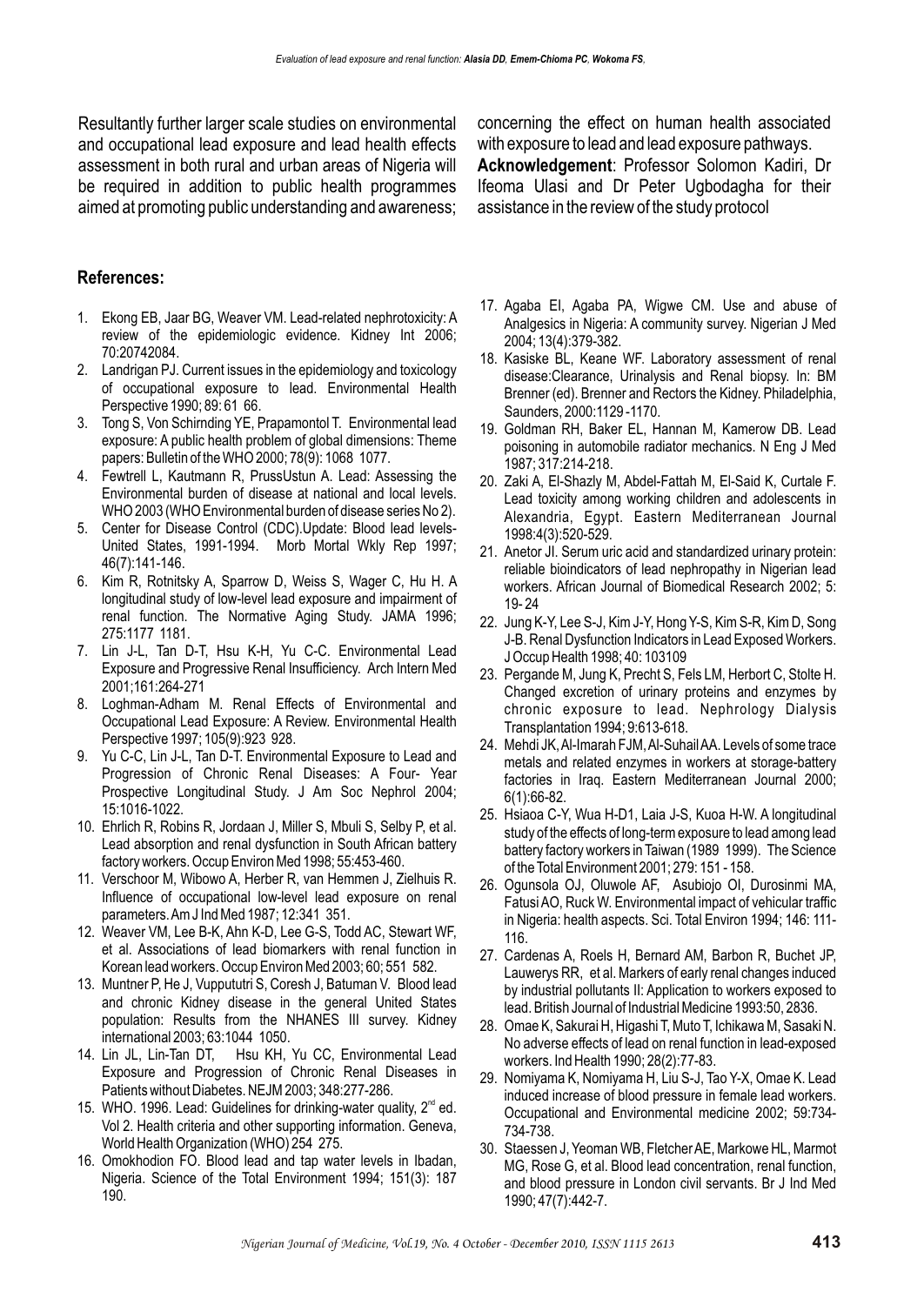Resultantly further larger scale studies on environmental and occupational lead exposure and lead health effects assessment in both rural and urban areas of Nigeria will be required in addition to public health programmes aimed at promoting public understanding and awareness;

#### **References:**

- 1. Ekong EB, Jaar BG, Weaver VM. Lead-related nephrotoxicity: A review of the epidemiologic evidence. Kidney Int 2006; 70:20742084.
- 2. Landrigan PJ. Current issues in the epidemiology and toxicology of occupational exposure to lead. Environmental Health Perspective 1990; 89: 61 66.
- 3. Tong S, Von Schirnding YE, Prapamontol T. Environmental lead exposure: A public health problem of global dimensions: Theme papers: Bulletin of the WHO 2000; 78(9): 1068 1077.
- 4. Fewtrell L, Kautmann R, PrussUstun A. Lead: Assessing the Environmental burden of disease at national and local levels. WHO 2003 (WHO Environmental burden of disease series No 2).
- 5. Center for Disease Control (CDC).Update: Blood lead levels-United States, 1991-1994. Morb Mortal Wkly Rep 1997; 46(7):141-146.
- 6. Kim R, Rotnitsky A, Sparrow D, Weiss S, Wager C, Hu H. A longitudinal study of low-level lead exposure and impairment of renal function. The Normative Aging Study. JAMA 1996; 275:1177 1181.
- 7. Lin J-L, Tan D-T, Hsu K-H, Yu C-C. Environmental Lead Exposure and Progressive Renal Insufficiency. Arch Intern Med 2001;161:264-271
- 8. Loghman-Adham M. Renal Effects of Environmental and Occupational Lead Exposure: A Review. Environmental Health Perspective 1997; 105(9):923 928.
- 9. Yu C-C, Lin J-L, Tan D-T. Environmental Exposure to Lead and Progression of Chronic Renal Diseases: A Four- Year Prospective Longitudinal Study. J Am Soc Nephrol 2004; 15:1016-1022.
- 10. Ehrlich R, Robins R, Jordaan J, Miller S, Mbuli S, Selby P, et al. Lead absorption and renal dysfunction in South African battery factory workers. Occup Environ Med 1998; 55:453-460.
- 11. Verschoor M, Wibowo A, Herber R, van Hemmen J, Zielhuis R. Influence of occupational low-level lead exposure on renal parameters. Am J Ind Med 1987; 12:341 351.
- 12. Weaver VM, Lee B-K, Ahn K-D, Lee G-S, Todd AC, Stewart WF, et al. Associations of lead biomarkers with renal function in Korean lead workers. Occup Environ Med 2003; 60; 551 582.
- 13. Muntner P, He J, Vuppututri S, Coresh J, Batuman V. Blood lead and chronic Kidney disease in the general United States population: Results from the NHANES III survey. Kidney international 2003; 63:1044 1050.
- 14. Lin JL, Lin-Tan DT, Hsu KH, Yu CC, Environmental Lead Exposure and Progression of Chronic Renal Diseases in Patients without Diabetes. NEJM 2003; 348:277-286.
- 15. WHO. 1996. Lead: Guidelines for drinking-water quality,  $2<sup>nd</sup>$  ed. Vol 2. Health criteria and other supporting information. Geneva, World Health Organization (WHO) 254 275.
- 16. Omokhodion FO. Blood lead and tap water levels in Ibadan, Nigeria. Science of the Total Environment 1994; 151(3): 187 190.

concerning the effect on human health associated with exposure to lead and lead exposure pathways. **Acknowledgement**: Professor Solomon Kadiri, Dr Ifeoma Ulasi and Dr Peter Ugbodagha for their assistance in the review of the study protocol

- 17. Agaba EI, Agaba PA, Wigwe CM. Use and abuse of Analgesics in Nigeria: A community survey. Nigerian J Med 2004; 13(4):379-382.
- 18. Kasiske BL, Keane WF. Laboratory assessment of renal disease:Clearance, Urinalysis and Renal biopsy. In: BM Brenner (ed). Brenner and Rectors the Kidney. Philadelphia, Saunders, 2000:1129 -1170.
- 19. Goldman RH, Baker EL, Hannan M, Kamerow DB. Lead poisoning in automobile radiator mechanics. N Eng J Med 1987; 317:214-218.
- 20. Zaki A, El-Shazly M, Abdel-Fattah M, El-Said K, Curtale F. Lead toxicity among working children and adolescents in Alexandria, Egypt. Eastern Mediterranean Journal 1998:4(3):520-529.
- 21. Anetor JI. Serum uric acid and standardized urinary protein: reliable bioindicators of lead nephropathy in Nigerian lead workers. African Journal of Biomedical Research 2002; 5: 19- 24
- 22. Jung K-Y, Lee S-J, Kim J-Y, Hong Y-S, Kim S-R, Kim D, Song J-B. Renal Dysfunction Indicators in Lead Exposed Workers. J Occup Health 1998; 40: 103109
- 23. Pergande M, Jung K, Precht S, Fels LM, Herbort C, Stolte H. Changed excretion of urinary proteins and enzymes by chronic exposure to lead. Nephrology Dialysis Transplantation 1994; 9:613-618.
- 24. Mehdi JK, Al-Imarah FJM, Al-Suhail AA. Levels of some trace metals and related enzymes in workers at storage-battery factories in Iraq. Eastern Mediterranean Journal 2000; 6(1):66-82.
- 25. Hsiaoa C-Y, Wua H-D1, Laia J-S, Kuoa H-W. A longitudinal study of the effects of long-term exposure to lead among lead battery factory workers in Taiwan (1989 1999). The Science of the Total Environment 2001; 279: 151 - 158.
- 26. Ogunsola OJ, Oluwole AF, Asubiojo OI, Durosinmi MA, Fatusi AO, Ruck W. Environmental impact of vehicular traffic in Nigeria: health aspects. Sci. Total Environ 1994; 146: 111- 116.
- 27. Cardenas A, Roels H, Bernard AM, Barbon R, Buchet JP, Lauwerys RR, et al. Markers of early renal changes induced by industrial pollutants II: Application to workers exposed to lead. British Journal of Industrial Medicine 1993:50, 2836.
- 28. Omae K, Sakurai H, Higashi T, Muto T, Ichikawa M, Sasaki N. No adverse effects of lead on renal function in lead-exposed workers. Ind Health 1990; 28(2):77-83.
- 29. Nomiyama K, Nomiyama H, Liu S-J, Tao Y-X, Omae K. Lead induced increase of blood pressure in female lead workers. Occupational and Environmental medicine 2002; 59:734- 734-738.
- 30. Staessen J, Yeoman WB, Fletcher AE, Markowe HL, Marmot MG, Rose G, et al. Blood lead concentration, renal function, and blood pressure in London civil servants. Br J Ind Med 1990; 47(7):442-7.